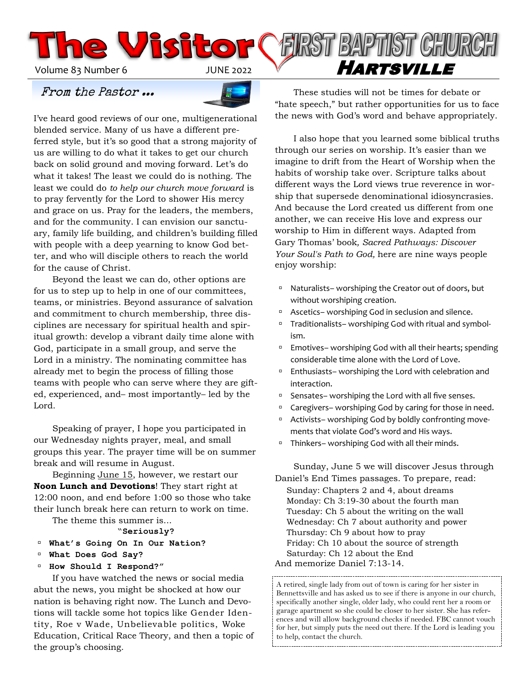Volume 83 Number 6 JUNE 2022 V **HARTSVILLE** 

## From the Pastor ...



I've heard good reviews of our one, multigenerational blended service. Many of us have a different preferred style, but it's so good that a strong majority of us are willing to do what it takes to get our church back on solid ground and moving forward. Let's do what it takes! The least we could do is nothing. The least we could do *to help our church move forward* is to pray fervently for the Lord to shower His mercy and grace on us. Pray for the leaders, the members, and for the community. I can envision our sanctuary, family life building, and children's building filled with people with a deep yearning to know God better, and who will disciple others to reach the world for the cause of Christ.

**The Visito** 

Beyond the least we can do, other options are for us to step up to help in one of our committees, teams, or ministries. Beyond assurance of salvation and commitment to church membership, three disciplines are necessary for spiritual health and spiritual growth: develop a vibrant daily time alone with God, participate in a small group, and serve the Lord in a ministry. The nominating committee has already met to begin the process of filling those teams with people who can serve where they are gifted, experienced, and– most importantly– led by the Lord.

Speaking of prayer, I hope you participated in our Wednesday nights prayer, meal, and small groups this year. The prayer time will be on summer break and will resume in August.

Beginning June 15, however, we restart our **Noon Lunch and Devotions**! They start right at 12:00 noon, and end before 1:00 so those who take their lunch break here can return to work on time.

The theme this summer is...

#### "**Seriously?**

- **What's Going On In Our Nation?**
- **What Does God Say?**
- **How Should I Respond?"**

If you have watched the news or social media abut the news, you might be shocked at how our nation is behaving right now. The Lunch and Devotions will tackle some hot topics like Gender Identity, Roe v Wade, Unbelievable politics, Woke Education, Critical Race Theory, and then a topic of the group's choosing.

These studies will not be times for debate or "hate speech," but rather opportunities for us to face the news with God's word and behave appropriately.

FIRST BAPTIST CHURCH

I also hope that you learned some biblical truths through our series on worship. It's easier than we imagine to drift from the Heart of Worship when the habits of worship take over. Scripture talks about different ways the Lord views true reverence in worship that supersede denominational idiosyncrasies. And because the Lord created us different from one another, we can receive His love and express our worship to Him in different ways. Adapted from Gary Thomas' book*, Sacred Pathways: Discover Your Soul's Path to God,* here are nine ways people enjoy worship:

- □ Naturalists– worshiping the Creator out of doors, but without worshiping creation.
- Ascetics– worshiping God in seclusion and silence.
- □ Traditionalists– worshiping God with ritual and symbolism.
- □ Emotives– worshiping God with all their hearts; spending considerable time alone with the Lord of Love.
- □ Enthusiasts– worshiping the Lord with celebration and interaction.
- □ Sensates– worshiping the Lord with all five senses.
- <sup>n</sup> Caregivers– worshiping God by caring for those in need.
- □ Activists– worshiping God by boldly confronting movements that violate God's word and His ways.
- □ Thinkers– worshiping God with all their minds.

Sunday, June 5 we will discover Jesus through Daniel's End Times passages. To prepare, read: Sunday: Chapters 2 and 4, about dreams Monday: Ch 3:19-30 about the fourth man Tuesday: Ch 5 about the writing on the wall Wednesday: Ch 7 about authority and power Thursday: Ch 9 about how to pray Friday: Ch 10 about the source of strength Saturday: Ch 12 about the End And memorize Daniel 7:13-14.

A retired, single lady from out of town is caring for her sister in Bennettsville and has asked us to see if there is anyone in our church, specifically another single, older lady, who could rent her a room or garage apartment so she could be closer to her sister. She has references and will allow background checks if needed. FBC cannot vouch for her, but simply puts the need out there. If the Lord is leading you to help, contact the church.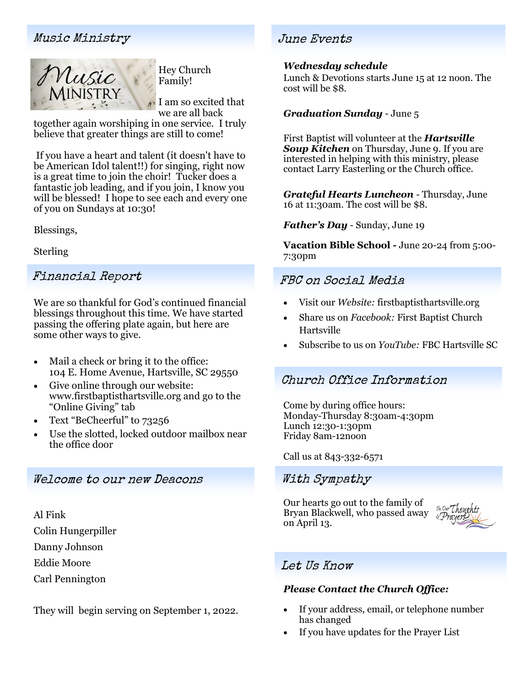## Music Ministry June Events



Hey Church Family!

I am so excited that we are all back

together again worshiping in one service. I truly believe that greater things are still to come!

If you have a heart and talent (it doesn't have to be American Idol talent!!) for singing, right now is a great time to join the choir! Tucker does a fantastic job leading, and if you join, I know you will be blessed! I hope to see each and every one of you on Sundays at 10:30!

Blessings,

Sterling

## Financial Report

We are so thankful for God's continued financial blessings throughout this time. We have started passing the offering plate again, but here are some other ways to give.

- Mail a check or bring it to the office: 104 E. Home Avenue, Hartsville, SC 29550
- Give online through our website: www.firstbaptisthartsville.org and go to the "Online Giving" tab
- Text "BeCheerful" to 73256
- Use the slotted, locked outdoor mailbox near the office door

## Welcome to our new Deacons

Al Fink Colin Hungerpiller Danny Johnson Eddie Moore Carl Pennington

They will begin serving on September 1, 2022.

### *Wednesday schedule*

Lunch & Devotions starts June 15 at 12 noon. The cost will be \$8.

### *Graduation Sunday* - June 5

First Baptist will volunteer at the *Hartsville Soup Kitchen* on Thursday, June 9. If you are interested in helping with this ministry, please contact Larry Easterling or the Church office.

*Grateful Hearts Luncheon* - Thursday, June 16 at 11:30am. The cost will be \$8.

*Father's Day* - Sunday, June 19

**Vacation Bible School -** June 20-24 from 5:00- 7:30pm

## FBC on Social Media

- Visit our *Website:* firstbaptisthartsville.org
- Share us on *Facebook:* First Baptist Church Hartsville
- Subscribe to us on *YouTube:* FBC Hartsville SC

## Church Office Information

Come by during office hours: Monday-Thursday 8:30am-4:30pm Lunch 12:30-1:30pm Friday 8am-12noon

#### Call us at 843-332-6571

## With Sympathy

Our hearts go out to the family of Bryan Blackwell, who passed away on April 13.



## Let Us Know

### *Please Contact the Church Office:*

- If your address, email, or telephone number has changed
- If you have updates for the Prayer List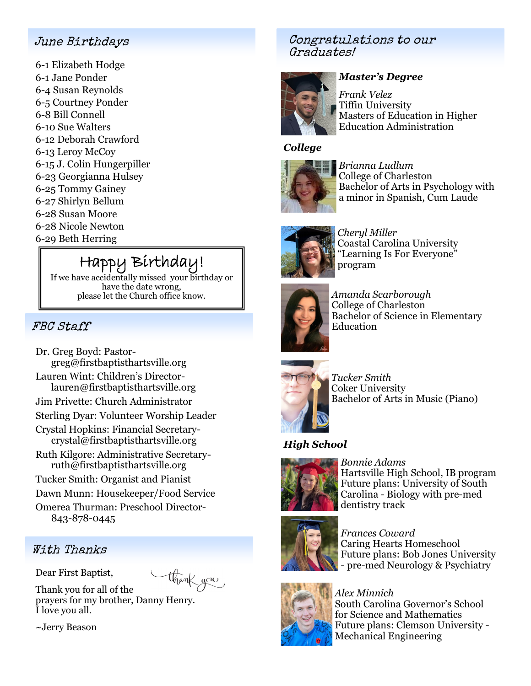## June Birthdays

-1 Elizabeth Hodge -1 Jane Ponder -4 Susan Reynolds -5 Courtney Ponder -8 Bill Connell -10 Sue Walters -12 Deborah Crawford -13 Leroy McCoy -15 J. Colin Hungerpiller -23 Georgianna Hulsey -25 Tommy Gainey -27 Shirlyn Bellum -28 Susan Moore -28 Nicole Newton -29 Beth Herring

# Happy Birthday!

If we have accidentally missed your birthday or have the date wrong, please let the Church office know.

## FBC Staff

- Dr. Greg Boyd: Pastorgreg@firstbaptisthartsville.org
- Lauren Wint: Children's Directorlauren@firstbaptisthartsville.org
- Jim Privette: Church Administrator
- Sterling Dyar: Volunteer Worship Leader
- Crystal Hopkins: Financial Secretarycrystal@firstbaptisthartsville.org
- Ruth Kilgore: Administrative Secretaryruth@firstbaptisthartsville.org
- Tucker Smith: Organist and Pianist
- Dawn Munn: Housekeeper/Food Service

Omerea Thurman: Preschool Director-843-878-0445

## With Thanks

Dear First Baptist,

thank you

Thank you for all of the prayers for my brother, Danny Henry. I love you all.

~Jerry Beason

## Congratulations to our Graduates!



## *Master's Degree*

*Frank Velez* Tiffin University Masters of Education in Higher Education Administration

## *College*



*Brianna Ludlum* College of Charleston Bachelor of Arts in Psychology with a minor in Spanish, Cum Laude



*Cheryl Miller* Coastal Carolina University "Learning Is For Everyone" program



*Amanda Scarborough* College of Charleston Bachelor of Science in Elementary Education

*Tucker Smith* Coker University Bachelor of Arts in Music (Piano)

## *High School*



*Bonnie Adams* Hartsville High School, IB program Future plans: University of South Carolina - Biology with pre-med dentistry track



*Frances Coward* Caring Hearts Homeschool Future plans: Bob Jones University - pre-med Neurology & Psychiatry



*Alex Minnich* South Carolina Governor's School for Science and Mathematics Future plans: Clemson University - Mechanical Engineering